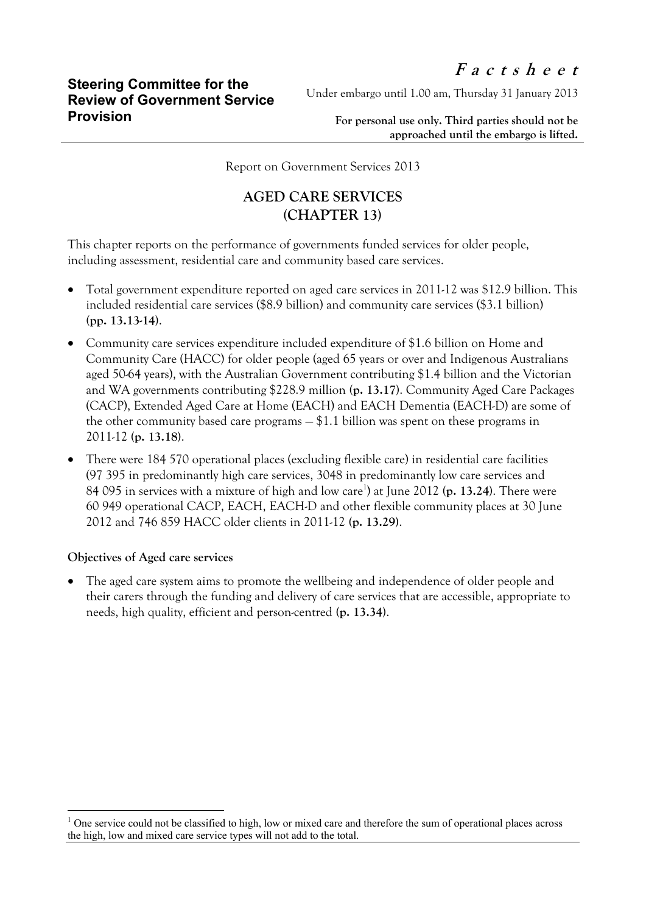Under embargo until 1.00 am, Thursday 31 January 2013

**For personal use only. Third parties should not be approached until the embargo is lifted.**

Report on Government Services 2013

## **AGED CARE SERVICES (CHAPTER 13)**

This chapter reports on the performance of governments funded services for older people, including assessment, residential care and community based care services.

- Total government expenditure reported on aged care services in 2011-12 was \$12.9 billion. This included residential care services (\$8.9 billion) and community care services (\$3.1 billion) **(pp. 13.13-14)**.
- Community care services expenditure included expenditure of \$1.6 billion on Home and Community Care (HACC) for older people (aged 65 years or over and Indigenous Australians aged 50-64 years), with the Australian Government contributing \$1.4 billion and the Victorian and WA governments contributing \$228.9 million **(p. 13.17)**. Community Aged Care Packages (CACP), Extended Aged Care at Home (EACH) and EACH Dementia (EACH-D) are some of the other community based care programs — \$1.1 billion was spent on these programs in 2011-12 **(p. 13.18)**.
- There were 184 570 operational places (excluding flexible care) in residential care facilities (97 395 in predominantly high care services, 3048 in predominantly low care services and 84 095 in services with a mixture of high and low care<sup>1</sup>) at June 2012 (p. 13.24). There were 60 949 operational CACP, EACH, EACH-D and other flexible community places at 30 June 2012 and 746 859 HACC older clients in 2011-12 **(p. 13.29)**.

## **Objectives of Aged care services**

 $\overline{a}$ 

 The aged care system aims to promote the wellbeing and independence of older people and their carers through the funding and delivery of care services that are accessible, appropriate to needs, high quality, efficient and person-centred **(p. 13.34)**.

 $1$  One service could not be classified to high, low or mixed care and therefore the sum of operational places across the high, low and mixed care service types will not add to the total.